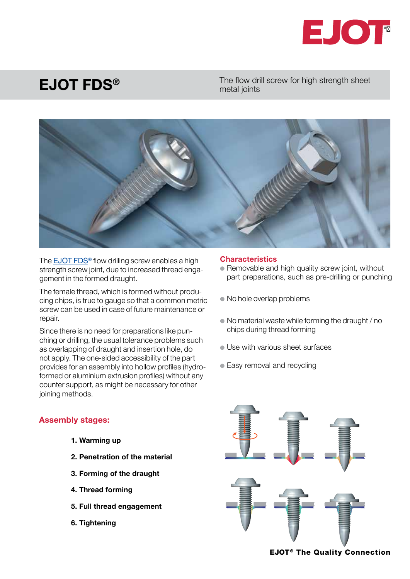

## EJOT FDS®

The flow drill screw for high strength sheet metal joints



The **EJOT FDS<sup>®</sup>** flow drilling screw enables a high strength screw joint, due to increased thread engagement in the formed draught.

The female thread, which is formed without producing chips, is true to gauge so that a common metric screw can be used in case of future maintenance or repair.

Since there is no need for preparations like punching or drilling, the usual tolerance problems such as overlapping of draught and insertion hole, do not apply. The one-sided accessibility of the part provides for an assembly into hollow profiles (hydroformed or aluminium extrusion profiles) without any counter support, as might be necessary for other joining methods.

## Assembly stages:

- 1. Warming up
- 2. Penetration of the material
- 3. Forming of the draught
- 4. Thread forming
- 5. Full thread engagement
- 6. Tightening

## **Characteristics**

- Removable and high quality screw joint, without part preparations, such as pre-drilling or punching
- No hole overlap problems
- No material waste while forming the draught / no chips during thread forming
- l Use with various sheet surfaces
- Easy removal and recycling



**EJOT<sup>®</sup> The Quality Connection**